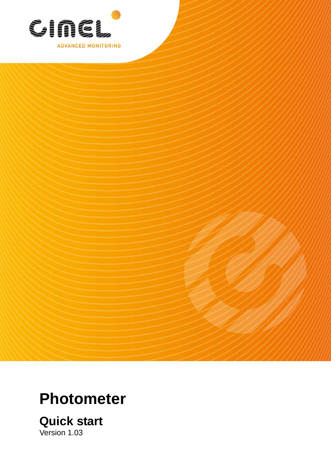

# **Photometer**

**Quick start**  Version 1.03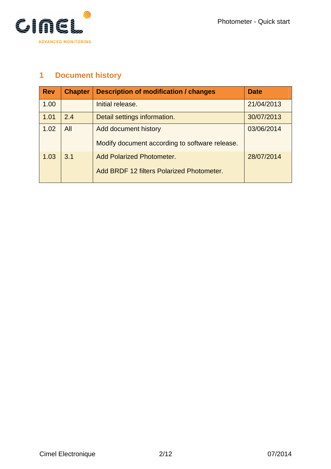

## **1 Document history**

| <b>Rev</b> | <b>Chapter</b> | <b>Description of modification / changes</b>   | <b>Date</b> |
|------------|----------------|------------------------------------------------|-------------|
| 1.00       |                | Initial release.                               | 21/04/2013  |
| 1.01       | 2.4            | Detail settings information.                   | 30/07/2013  |
| 1.02       | All            | Add document history                           | 03/06/2014  |
|            |                | Modify document according to software release. |             |
| 1.03       | 3.1            | <b>Add Polarized Photometer.</b>               | 28/07/2014  |
|            |                | Add BRDF 12 filters Polarized Photometer.      |             |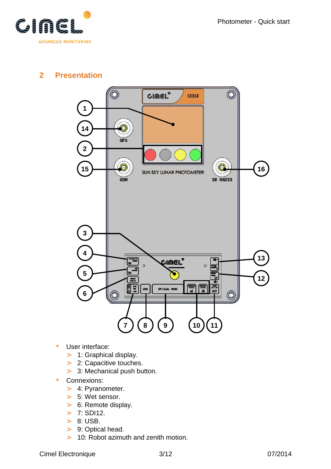

## **2 Presentation**



- User interface:
	- > 1: Graphical display.
	- > 2: Capacitive touches.
	- > 3: Mechanical push button.
- Connexions:
	- > 4: Pyranometer.
	- > 5: Wet sensor.
	- > 6: Remote display.
	- $> 7: SD112.$
	- > 8: USB.
	- > 9: Optical head.
	- > 10: Robot azimuth and zenith motion.

Cimel Electronique 3/12 07/2014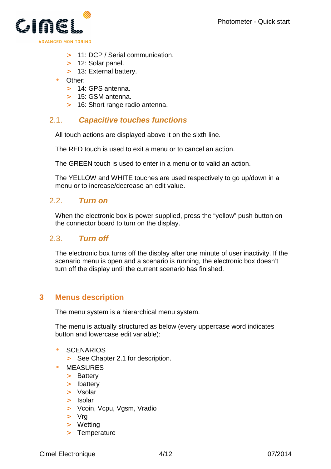

- > 11: DCP / Serial communication.
- > 12: Solar panel.
- > 13: External battery.
- Other:
	- > 14: GPS antenna.
	- > 15: GSM antenna.
	- > 16: Short range radio antenna.

## 2.1. **Capacitive touches functions**

All touch actions are displayed above it on the sixth line.

The RED touch is used to exit a menu or to cancel an action.

The GREEN touch is used to enter in a menu or to valid an action.

The YELLOW and WHITE touches are used respectively to go up/down in a menu or to increase/decrease an edit value.

## 2.2. **Turn on**

When the electronic box is power supplied, press the "yellow" push button on the connector board to turn on the display.

## 2.3. **Turn off**

The electronic box turns off the display after one minute of user inactivity. If the scenario menu is open and a scenario is running, the electronic box doesn't turn off the display until the current scenario has finished.

## **3 Menus description**

The menu system is a hierarchical menu system.

The menu is actually structured as below (every uppercase word indicates button and lowercase edit variable):

- **SCENARIOS** 
	- > See Chapter 2.1 for description.
- **MEASURES** 
	- > Battery
	- > Ibattery
	- > Vsolar
	- > Isolar
	- > Vcoin, Vcpu, Vgsm, Vradio
	- > Vrg
	- > Wetting
	- > Temperature

Cimel Electronique 4/12 07/2014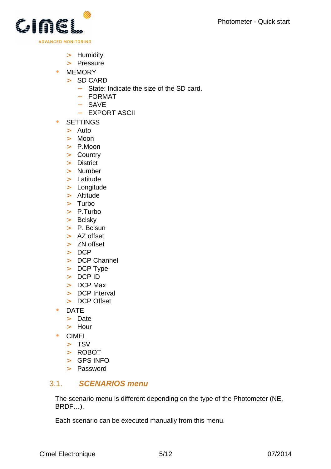

- > Humidity
- > Pressure
- MEMORY
	- > SD CARD
		- − State: Indicate the size of the SD card.
		- − FORMAT
		- − SAVE
		- − EXPORT ASCII
- SETTINGS
	- > Auto
	- > Moon
	- > P.Moon
	- > Country
	- > District
	- > Number
	- > Latitude
	- > Longitude
	- > Altitude
	- > Turbo
	- > P.Turbo
	- > Bclsky
	- > P. Bclsun
	- > AZ offset
	- > ZN offset
	- > DCP
	- > DCP Channel
	- > DCP Type
	- > DCP ID
	- > DCP Max
	- > DCP Interval
	- > DCP Offset
- DATE
	- > Date
	- > Hour
- CIMEL
	- > TSV
	- > ROBOT
	- > GPS INFO
	- > Password

## 3.1. **SCENARIOS menu**

The scenario menu is different depending on the type of the Photometer (NE, BRDF…).

Each scenario can be executed manually from this menu.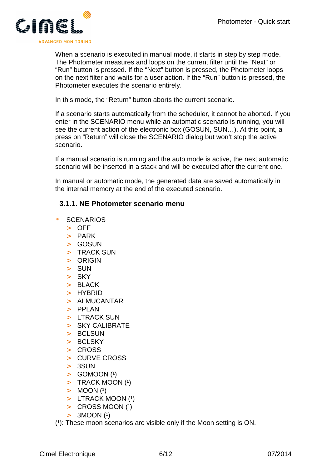

When a scenario is executed in manual mode, it starts in step by step mode. The Photometer measures and loops on the current filter until the "Next" or "Run" button is pressed. If the "Next" button is pressed, the Photometer loops on the next filter and waits for a user action. If the "Run" button is pressed, the Photometer executes the scenario entirely.

In this mode, the "Return" button aborts the current scenario.

If a scenario starts automatically from the scheduler, it cannot be aborted. If you enter in the SCENARIO menu while an automatic scenario is running, you will see the current action of the electronic box (GOSUN, SUN…). At this point, a press on "Return" will close the SCENARIO dialog but won't stop the active scenario.

If a manual scenario is running and the auto mode is active, the next automatic scenario will be inserted in a stack and will be executed after the current one.

In manual or automatic mode, the generated data are saved automatically in the internal memory at the end of the executed scenario.

#### **3.1.1. NE Photometer scenario menu**

- **SCENARIOS** 
	- > OFF
	- > PARK
	- $>$  GOSUN
	- > TRACK SUN
	- > ORIGIN
	- > SUN
	- > SKY
	- > BLACK
	- > HYBRID
	- > ALMUCANTAR
	- > PPLAN
	- > LTRACK SUN
	- > SKY CALIBRATE
	- > BCLSUN
	- > BCLSKY
	- > CROSS
	- > CURVE CROSS
	- > 3SUN
	- $>$  GOMOON  $(1)$
	- $>$  TRACK MOON (1)
	- $> MOON$  (1)
	- $>$  LTRACK MOON  $(1)$
	- $>$  CROSS MOON  $(1)$
	- $> 3MOON(1)$

 $(1)$ : These moon scenarios are visible only if the Moon setting is ON.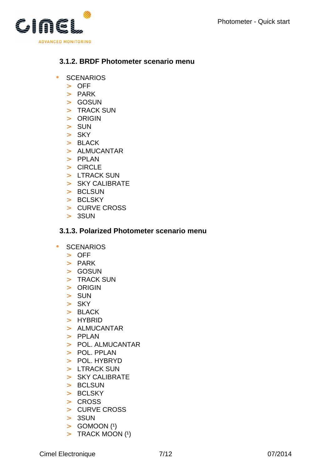

## **3.1.2. BRDF Photometer scenario menu**

- SCENARIOS
	- > OFF
	- > PARK
	- > GOSUN
	- > TRACK SUN
	- > ORIGIN
	- > SUN
	- > SKY
	- > BLACK
	- > ALMUCANTAR
	- > PPLAN
	- > CIRCLE
	- > LTRACK SUN
	- > SKY CALIBRATE
	- > BCLSUN
	- > BCLSKY
	- > CURVE CROSS
	- > 3SUN

### **3.1.3. Polarized Photometer scenario menu**

- SCENARIOS
	- > OFF
	- > PARK
	- > GOSUN
	- > TRACK SUN
	- > ORIGIN
	- > SUN
	- > SKY
	- > BLACK
	- > HYBRID
	- > ALMUCANTAR
	- > PPLAN
	- > POL. ALMUCANTAR
	- > POL. PPLAN
	- > POL. HYBRYD
	- > LTRACK SUN
	- > SKY CALIBRATE
	- > BCLSUN
	- > BCLSKY
	- > CROSS
	- > CURVE CROSS
	- > 3SUN
	- $>$  GOMOON (1)
	- $>$  TRACK MOON (1)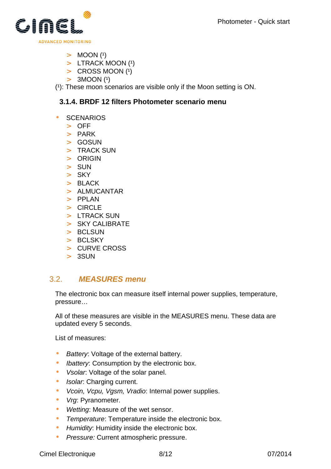

- $> MOOD (1)$
- $>$  LTRACK MOON  $(1)$
- $\geq$  CROSS MOON (1)
- $> 3M OON (1)$

 $(1)$ : These moon scenarios are visible only if the Moon setting is ON.

#### **3.1.4. BRDF 12 filters Photometer scenario menu**

#### **SCENARIOS**

- > OFF
- > PARK
- > GOSUN
- > TRACK SUN
- > ORIGIN
- > SUN
- $>$  SKY
- $>$  BLACK
- > ALMUCANTAR
- $>$  PPI AN
- > CIRCLE
- > LTRACK SUN
- > SKY CALIBRATE
- > BCLSUN
- > BCLSKY
- > CURVE CROSS
- > 3SUN

## 3.2. **MEASURES menu**

The electronic box can measure itself internal power supplies, temperature, pressure…

All of these measures are visible in the MEASURES menu. These data are updated every 5 seconds.

List of measures:

- Battery: Voltage of the external battery.
- *Ibattery:* Consumption by the electronic box.
- Vsolar: Voltage of the solar panel.
- Isolar: Charging current.
- Vcoin, Vcpu, Vgsm, Vradio: Internal power supplies.
- Vrg: Pyranometer.
- Wetting: Measure of the wet sensor.
- Temperature: Temperature inside the electronic box.
- Humidity: Humidity inside the electronic box.
- Pressure: Current atmospheric pressure.

Cimel Electronique 8/12 8/12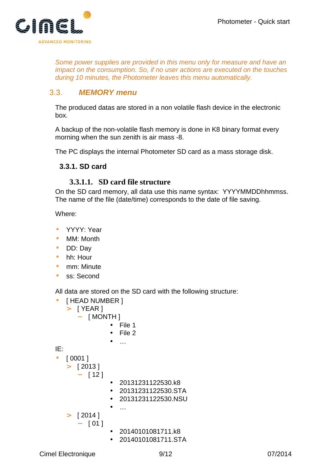

Some power supplies are provided in this menu only for measure and have an impact on the consumption. So, if no user actions are executed on the touches during 10 minutes, the Photometer leaves this menu automatically.

## 3.3. **MEMORY menu**

The produced datas are stored in a non volatile flash device in the electronic box.

A backup of the non-volatile flash memory is done in K8 binary format every morning when the sun zenith is air mass -8.

The PC displays the internal Photometer SD card as a mass storage disk.

#### **3.3.1. SD card**

#### **3.3.1.1. SD card file structure**

On the SD card memory, all data use this name syntax: YYYYMMDDhhmmss. The name of the file (date/time) corresponds to the date of file saving.

Where:

- YYYY: Year
- MM: Month
- DD: Day
- hh: Hour
- mm: Minute
- ss: Second

All data are stored on the SD card with the following structure:

```
• [ HEAD NUMBER ]
   > [ YEAR ]
       − [ MONTH ] 
                 • File 1 
                    • File 2 
                    \ddotscIE: 
• [0001]
   > [ 2013 ]
       − [ 12 ] 
                 • 20131231122530.k8 
                  • 20131231122530.STA 
                 • 20131231122530.NSU 
                    \ddotsc> [ 2014 ]
       − [ 01 ] 
                   • 20140101081711.k8 
                    • 20140101081711.STA
```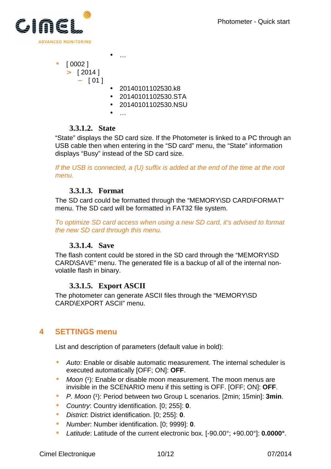

- [ 0002 ]
	- $>$  [ 2014 ]
		- − [ 01 ]
- 20140101102530.k8
- 20140101102530.STA
- 20140101102530.NSU
- …

 $\bullet$  …

#### **3.3.1.2. State**

"State" displays the SD card size. If the Photometer is linked to a PC through an USB cable then when entering in the "SD card" menu, the "State" information displays "Busy" instead of the SD card size.

If the USB is connected, a (U) suffix is added at the end of the time at the root menu.

## **3.3.1.3. Format**

The SD card could be formatted through the "MEMORY\SD CARD\FORMAT" menu. The SD card will be formatted in FAT32 file system.

To optimize SD card access when using a new SD card, it's advised to format the new SD card through this menu.

## **3.3.1.4. Save**

The flash content could be stored in the SD card through the "MEMORY\SD CARD\SAVE" menu. The generated file is a backup of all of the internal nonvolatile flash in binary.

## **3.3.1.5. Export ASCII**

The photometer can generate ASCII files through the "MEMORY\SD CARD\EXPORT ASCII" menu.

## **4 SETTINGS menu**

List and description of parameters (default value in bold):

- Auto: Enable or disable automatic measurement. The internal scheduler is executed automatically [OFF; ON]: **OFF**.
- $M$ oon  $(1)$ : Enable or disable moon measurement. The moon menus are invisible in the SCENARIO menu if this setting is OFF. [OFF; ON]: **OFF**.
- P. Moon (1): Period between two Group L scenarios. [2min; 15min]: 3min.
- Country: Country identification. [0; 255]: **0**.
- District: District identification. [0; 255]: **0**.
- Number: Number identification. [0; 9999]: **0**.
- Latitude: Latitude of the current electronic box. [-90.00°; +90.00°]: **0.0000°**.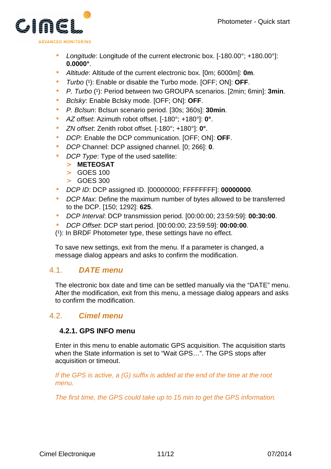

- Longitude: Longitude of the current electronic box. [-180.00°; +180.00°]: **0.0000°**.
- Altitude: Altitude of the current electronic box. [0m; 6000m]: **0m**.
- Turbo (1): Enable or disable the Turbo mode. [OFF; ON]: OFF.
- P. Turbo (1): Period between two GROUPA scenarios. [2min; 6min]: 3min.
- Bclsky: Enable Bclsky mode. [OFF; ON]: **OFF**.
- P. Bclsun: Bclsun scenario period. [30s; 360s]: **30min**.
- AZ offset: Azimuth robot offset. [-180°; +180°]: **0°**.
- ZN offset: Zenith robot offset. [-180°; +180°]: **0°**.
- DCP: Enable the DCP communication. [OFF; ON]: **OFF**.
- DCP Channel: DCP assigned channel. [0; 266]: **0**.
- DCP Type: Type of the used satellite:
	- > **METEOSAT**
	- > GOES 100
	- > GOES 300
- DCP ID: DCP assigned ID. [00000000; FFFFFFFF]: **00000000**.
- DCP Max: Define the maximum number of bytes allowed to be transferred to the DCP. [150; 1292]: **625**.
- DCP Interval: DCP transmission period. [00:00:00; 23:59:59]: **00:30:00**.
- DCP Offset: DCP start period. [00:00:00; 23:59:59]: **00:00:00**.
- $(1)$ : In BRDF Photometer type, these settings have no effect.

To save new settings, exit from the menu. If a parameter is changed, a message dialog appears and asks to confirm the modification.

## 4.1. **DATE menu**

The electronic box date and time can be settled manually via the "DATE" menu. After the modification, exit from this menu, a message dialog appears and asks to confirm the modification.

## 4.2. **Cimel menu**

## **4.2.1. GPS INFO menu**

Enter in this menu to enable automatic GPS acquisition. The acquisition starts when the State information is set to "Wait GPS…". The GPS stops after acquisition or timeout.

If the GPS is active, a (G) suffix is added at the end of the time at the root menu.

The first time, the GPS could take up to 15 min to get the GPS information.